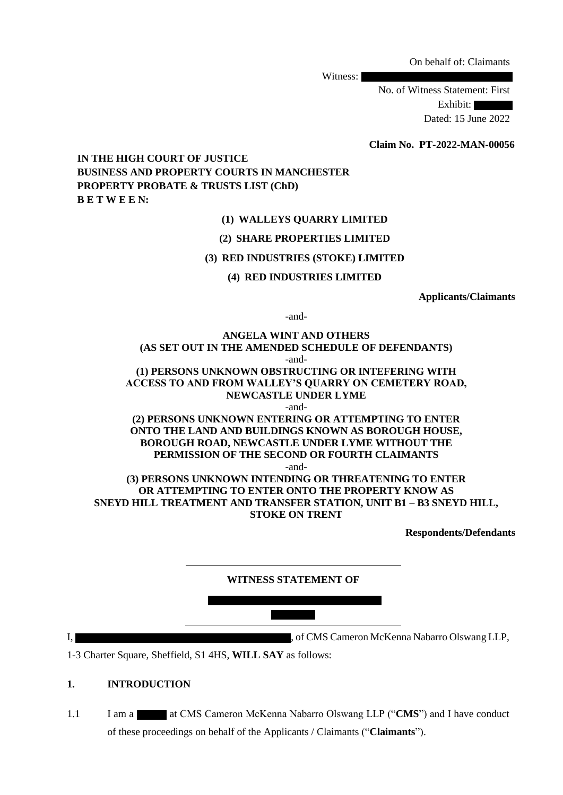On behalf of: Claimants

Witness:

No. of Witness Statement: First Exhibit: Dated: 15 June 2022

 **Claim No. PT-2022-MAN-00056**

**IN THE HIGH COURT OF JUSTICE BUSINESS AND PROPERTY COURTS IN MANCHESTER PROPERTY PROBATE & TRUSTS LIST (ChD) B E T W E E N:**

## **(1) WALLEYS QUARRY LIMITED**

#### **(2) SHARE PROPERTIES LIMITED**

#### **(3) RED INDUSTRIES (STOKE) LIMITED**

#### **(4) RED INDUSTRIES LIMITED**

**Applicants/Claimants**

-and-

**ANGELA WINT AND OTHERS (AS SET OUT IN THE AMENDED SCHEDULE OF DEFENDANTS)** -and- **(1) PERSONS UNKNOWN OBSTRUCTING OR INTEFERING WITH ACCESS TO AND FROM WALLEY'S QUARRY ON CEMETERY ROAD, NEWCASTLE UNDER LYME**

-and-

**(2) PERSONS UNKNOWN ENTERING OR ATTEMPTING TO ENTER ONTO THE LAND AND BUILDINGS KNOWN AS BOROUGH HOUSE, BOROUGH ROAD, NEWCASTLE UNDER LYME WITHOUT THE PERMISSION OF THE SECOND OR FOURTH CLAIMANTS**

-and-

**(3) PERSONS UNKNOWN INTENDING OR THREATENING TO ENTER OR ATTEMPTING TO ENTER ONTO THE PROPERTY KNOW AS SNEYD HILL TREATMENT AND TRANSFER STATION, UNIT B1 – B3 SNEYD HILL, STOKE ON TRENT**

**Respondents/Defendants**

**WITNESS STATEMENT OF** 

I,  $\overline{\phantom{a}}$  , of CMS Cameron McKenna Nabarro Olswang LLP,

1-3 Charter Square, Sheffield, S1 4HS, **WILL SAY** as follows:

## **1. INTRODUCTION**

1.1 I am a at CMS Cameron McKenna Nabarro Olswang LLP ("CMS") and I have conduct of these proceedings on behalf of the Applicants / Claimants ("**Claimants**").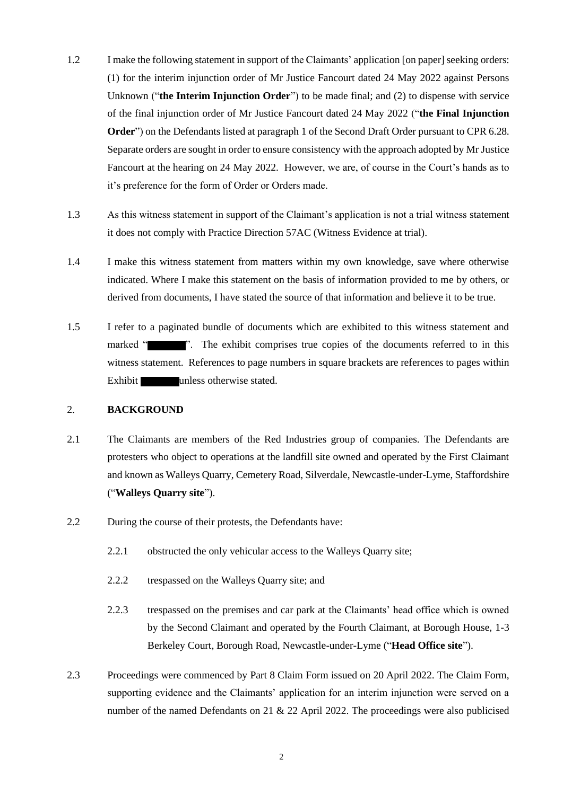- 1.2 I make the following statement in support of the Claimants' application [on paper] seeking orders: (1) for the interim injunction order of Mr Justice Fancourt dated 24 May 2022 against Persons Unknown ("**the Interim Injunction Order**") to be made final; and (2) to dispense with service of the final injunction order of Mr Justice Fancourt dated 24 May 2022 ("**the Final Injunction Order**") on the Defendants listed at paragraph 1 of the Second Draft Order pursuant to CPR 6.28. Separate orders are sought in order to ensure consistency with the approach adopted by Mr Justice Fancourt at the hearing on 24 May 2022. However, we are, of course in the Court's hands as to it's preference for the form of Order or Orders made.
- 1.3 As this witness statement in support of the Claimant's application is not a trial witness statement it does not comply with Practice Direction 57AC (Witness Evidence at trial).
- 1.4 I make this witness statement from matters within my own knowledge, save where otherwise indicated. Where I make this statement on the basis of information provided to me by others, or derived from documents, I have stated the source of that information and believe it to be true.
- 1.5 I refer to a paginated bundle of documents which are exhibited to this witness statement and marked " ". The exhibit comprises true copies of the documents referred to in this witness statement. References to page numbers in square brackets are references to pages within Exhibit unless otherwise stated.

# 2. **BACKGROUND**

- 2.1 The Claimants are members of the Red Industries group of companies. The Defendants are protesters who object to operations at the landfill site owned and operated by the First Claimant and known as Walleys Quarry, Cemetery Road, Silverdale, Newcastle-under-Lyme, Staffordshire ("**Walleys Quarry site**").
- 2.2 During the course of their protests, the Defendants have:
	- 2.2.1 obstructed the only vehicular access to the Walleys Quarry site;
	- 2.2.2 trespassed on the Walleys Quarry site; and
	- 2.2.3 trespassed on the premises and car park at the Claimants' head office which is owned by the Second Claimant and operated by the Fourth Claimant, at Borough House, 1-3 Berkeley Court, Borough Road, Newcastle-under-Lyme ("**Head Office site**").
- 2.3 Proceedings were commenced by Part 8 Claim Form issued on 20 April 2022. The Claim Form, supporting evidence and the Claimants' application for an interim injunction were served on a number of the named Defendants on 21 & 22 April 2022. The proceedings were also publicised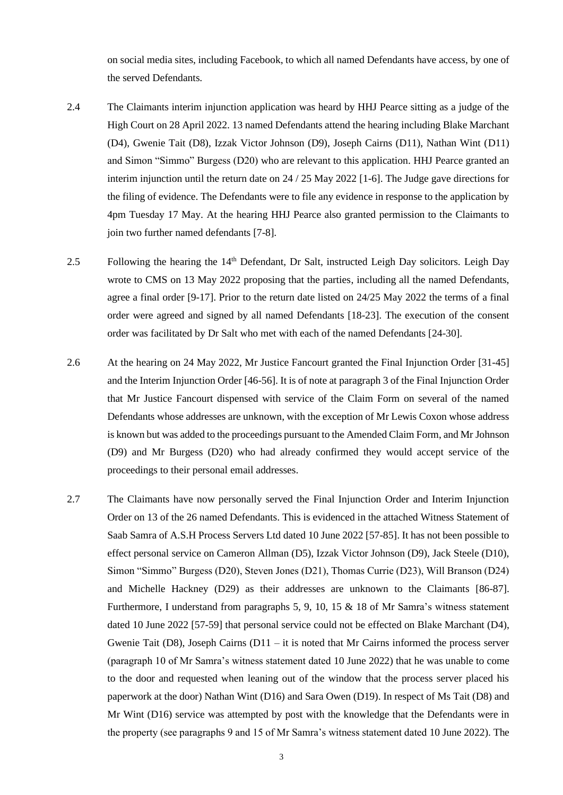on social media sites, including Facebook, to which all named Defendants have access, by one of the served Defendants.

- 2.4 The Claimants interim injunction application was heard by HHJ Pearce sitting as a judge of the High Court on 28 April 2022. 13 named Defendants attend the hearing including Blake Marchant (D4), Gwenie Tait (D8), Izzak Victor Johnson (D9), Joseph Cairns (D11), Nathan Wint (D11) and Simon "Simmo" Burgess (D20) who are relevant to this application. HHJ Pearce granted an interim injunction until the return date on 24 / 25 May 2022 [1-6]. The Judge gave directions for the filing of evidence. The Defendants were to file any evidence in response to the application by 4pm Tuesday 17 May. At the hearing HHJ Pearce also granted permission to the Claimants to join two further named defendants [7-8].
- 2.5 Following the hearing the 14<sup>th</sup> Defendant, Dr Salt, instructed Leigh Day solicitors. Leigh Day wrote to CMS on 13 May 2022 proposing that the parties, including all the named Defendants, agree a final order [9-17]. Prior to the return date listed on 24/25 May 2022 the terms of a final order were agreed and signed by all named Defendants [18-23]. The execution of the consent order was facilitated by Dr Salt who met with each of the named Defendants [24-30].
- 2.6 At the hearing on 24 May 2022, Mr Justice Fancourt granted the Final Injunction Order [31-45] and the Interim Injunction Order [46-56]. It is of note at paragraph 3 of the Final Injunction Order that Mr Justice Fancourt dispensed with service of the Claim Form on several of the named Defendants whose addresses are unknown, with the exception of Mr Lewis Coxon whose address is known but was added to the proceedings pursuant to the Amended Claim Form, and Mr Johnson (D9) and Mr Burgess (D20) who had already confirmed they would accept service of the proceedings to their personal email addresses.
- 2.7 The Claimants have now personally served the Final Injunction Order and Interim Injunction Order on 13 of the 26 named Defendants. This is evidenced in the attached Witness Statement of Saab Samra of A.S.H Process Servers Ltd dated 10 June 2022 [57-85]. It has not been possible to effect personal service on Cameron Allman (D5), Izzak Victor Johnson (D9), Jack Steele (D10), Simon "Simmo" Burgess (D20), Steven Jones (D21), Thomas Currie (D23), Will Branson (D24) and Michelle Hackney (D29) as their addresses are unknown to the Claimants [86-87]. Furthermore, I understand from paragraphs 5, 9, 10, 15 & 18 of Mr Samra's witness statement dated 10 June 2022 [57-59] that personal service could not be effected on Blake Marchant (D4), Gwenie Tait (D8), Joseph Cairns (D11 – it is noted that Mr Cairns informed the process server (paragraph 10 of Mr Samra's witness statement dated 10 June 2022) that he was unable to come to the door and requested when leaning out of the window that the process server placed his paperwork at the door) Nathan Wint (D16) and Sara Owen (D19). In respect of Ms Tait (D8) and Mr Wint (D16) service was attempted by post with the knowledge that the Defendants were in the property (see paragraphs 9 and 15 of Mr Samra's witness statement dated 10 June 2022). The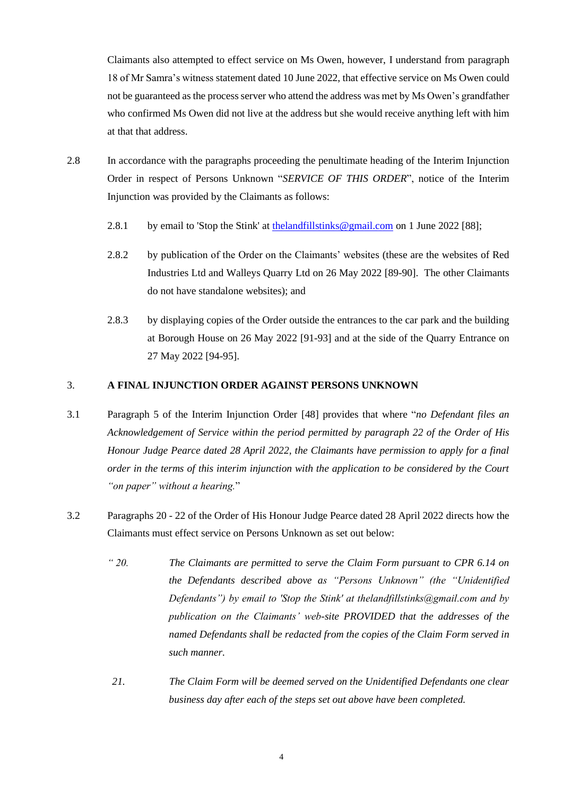Claimants also attempted to effect service on Ms Owen, however, I understand from paragraph 18 of Mr Samra's witness statement dated 10 June 2022, that effective service on Ms Owen could not be guaranteed as the process server who attend the address was met by Ms Owen's grandfather who confirmed Ms Owen did not live at the address but she would receive anything left with him at that that address.

- 2.8 In accordance with the paragraphs proceeding the penultimate heading of the Interim Injunction Order in respect of Persons Unknown "*SERVICE OF THIS ORDER*", notice of the Interim Injunction was provided by the Claimants as follows:
	- 2.8.1 by email to 'Stop the Stink' at [thelandfillstinks@gmail.com](mailto:thelandfillstinks@gmail.com) on 1 June 2022 [88];
	- 2.8.2 by publication of the Order on the Claimants' websites (these are the websites of Red Industries Ltd and Walleys Quarry Ltd on 26 May 2022 [89-90]. The other Claimants do not have standalone websites); and
	- 2.8.3 by displaying copies of the Order outside the entrances to the car park and the building at Borough House on 26 May 2022 [91-93] and at the side of the Quarry Entrance on 27 May 2022 [94-95].

## 3. **A FINAL INJUNCTION ORDER AGAINST PERSONS UNKNOWN**

- 3.1 Paragraph 5 of the Interim Injunction Order [48] provides that where "*no Defendant files an Acknowledgement of Service within the period permitted by paragraph 22 of the Order of His Honour Judge Pearce dated 28 April 2022, the Claimants have permission to apply for a final order in the terms of this interim injunction with the application to be considered by the Court "on paper" without a hearing.*"
- 3.2 Paragraphs 20 22 of the Order of His Honour Judge Pearce dated 28 April 2022 directs how the Claimants must effect service on Persons Unknown as set out below:
	- *" 20. The Claimants are permitted to serve the Claim Form pursuant to CPR 6.14 on the Defendants described above as "Persons Unknown" (the "Unidentified Defendants") by email to 'Stop the Stink' at thelandfillstinks@gmail.com and by publication on the Claimants' web-site PROVIDED that the addresses of the named Defendants shall be redacted from the copies of the Claim Form served in such manner.*
	- *21. The Claim Form will be deemed served on the Unidentified Defendants one clear business day after each of the steps set out above have been completed.*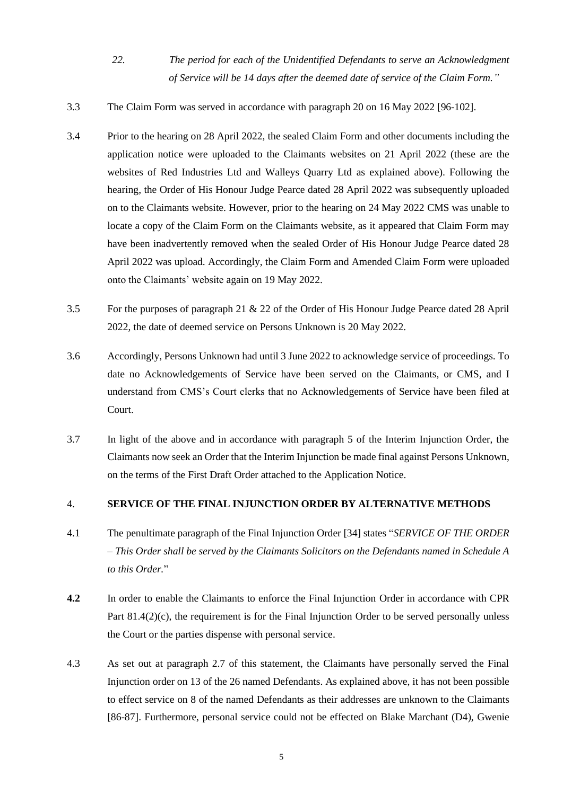- *22. The period for each of the Unidentified Defendants to serve an Acknowledgment of Service will be 14 days after the deemed date of service of the Claim Form."*
- 3.3 The Claim Form was served in accordance with paragraph 20 on 16 May 2022 [96-102].
- 3.4 Prior to the hearing on 28 April 2022, the sealed Claim Form and other documents including the application notice were uploaded to the Claimants websites on 21 April 2022 (these are the websites of Red Industries Ltd and Walleys Quarry Ltd as explained above). Following the hearing, the Order of His Honour Judge Pearce dated 28 April 2022 was subsequently uploaded on to the Claimants website. However, prior to the hearing on 24 May 2022 CMS was unable to locate a copy of the Claim Form on the Claimants website, as it appeared that Claim Form may have been inadvertently removed when the sealed Order of His Honour Judge Pearce dated 28 April 2022 was upload. Accordingly, the Claim Form and Amended Claim Form were uploaded onto the Claimants' website again on 19 May 2022.
- 3.5 For the purposes of paragraph 21 & 22 of the Order of His Honour Judge Pearce dated 28 April 2022, the date of deemed service on Persons Unknown is 20 May 2022.
- 3.6 Accordingly, Persons Unknown had until 3 June 2022 to acknowledge service of proceedings. To date no Acknowledgements of Service have been served on the Claimants, or CMS, and I understand from CMS's Court clerks that no Acknowledgements of Service have been filed at Court.
- 3.7 In light of the above and in accordance with paragraph 5 of the Interim Injunction Order, the Claimants now seek an Order that the Interim Injunction be made final against Persons Unknown, on the terms of the First Draft Order attached to the Application Notice.

## 4. **SERVICE OF THE FINAL INJUNCTION ORDER BY ALTERNATIVE METHODS**

- 4.1 The penultimate paragraph of the Final Injunction Order [34] states "*SERVICE OF THE ORDER – This Order shall be served by the Claimants Solicitors on the Defendants named in Schedule A to this Order.*"
- **4.2** In order to enable the Claimants to enforce the Final Injunction Order in accordance with CPR Part 81.4(2)(c), the requirement is for the Final Injunction Order to be served personally unless the Court or the parties dispense with personal service.
- 4.3 As set out at paragraph 2.7 of this statement, the Claimants have personally served the Final Injunction order on 13 of the 26 named Defendants. As explained above, it has not been possible to effect service on 8 of the named Defendants as their addresses are unknown to the Claimants [86-87]. Furthermore, personal service could not be effected on Blake Marchant (D4), Gwenie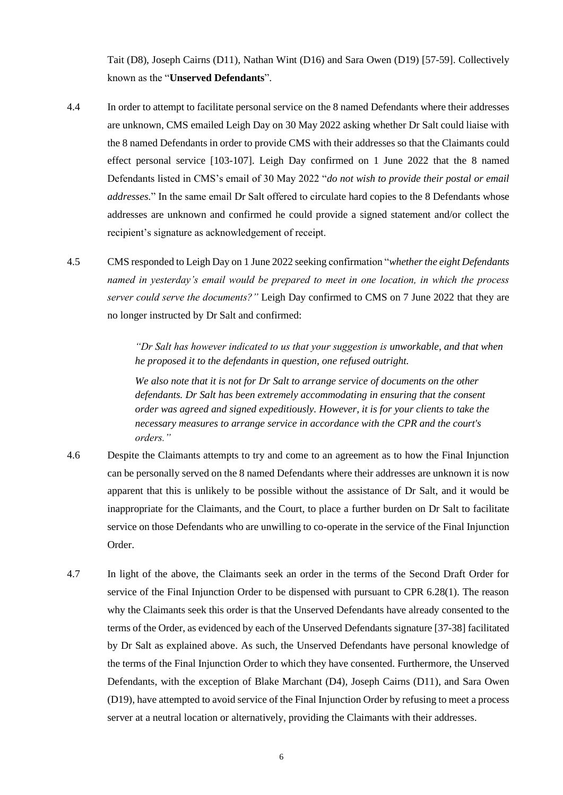Tait (D8), Joseph Cairns (D11), Nathan Wint (D16) and Sara Owen (D19) [57-59]. Collectively known as the "**Unserved Defendants**".

- 4.4 In order to attempt to facilitate personal service on the 8 named Defendants where their addresses are unknown, CMS emailed Leigh Day on 30 May 2022 asking whether Dr Salt could liaise with the 8 named Defendants in order to provide CMS with their addresses so that the Claimants could effect personal service [103-107]. Leigh Day confirmed on 1 June 2022 that the 8 named Defendants listed in CMS's email of 30 May 2022 "*do not wish to provide their postal or email addresses.*" In the same email Dr Salt offered to circulate hard copies to the 8 Defendants whose addresses are unknown and confirmed he could provide a signed statement and/or collect the recipient's signature as acknowledgement of receipt.
- 4.5 CMS responded to Leigh Day on 1 June 2022 seeking confirmation "*whether the eight Defendants named in yesterday's email would be prepared to meet in one location, in which the process server could serve the documents?"* Leigh Day confirmed to CMS on 7 June 2022 that they are no longer instructed by Dr Salt and confirmed:

*"Dr Salt has however indicated to us that your suggestion is unworkable, and that when he proposed it to the defendants in question, one refused outright.* 

*We also note that it is not for Dr Salt to arrange service of documents on the other defendants. Dr Salt has been extremely accommodating in ensuring that the consent order was agreed and signed expeditiously. However, it is for your clients to take the necessary measures to arrange service in accordance with the CPR and the court's orders."*

- 4.6 Despite the Claimants attempts to try and come to an agreement as to how the Final Injunction can be personally served on the 8 named Defendants where their addresses are unknown it is now apparent that this is unlikely to be possible without the assistance of Dr Salt, and it would be inappropriate for the Claimants, and the Court, to place a further burden on Dr Salt to facilitate service on those Defendants who are unwilling to co-operate in the service of the Final Injunction Order.
- 4.7 In light of the above, the Claimants seek an order in the terms of the Second Draft Order for service of the Final Injunction Order to be dispensed with pursuant to CPR 6.28(1). The reason why the Claimants seek this order is that the Unserved Defendants have already consented to the terms of the Order, as evidenced by each of the Unserved Defendants signature [37-38] facilitated by Dr Salt as explained above. As such, the Unserved Defendants have personal knowledge of the terms of the Final Injunction Order to which they have consented. Furthermore, the Unserved Defendants, with the exception of Blake Marchant (D4), Joseph Cairns (D11), and Sara Owen (D19), have attempted to avoid service of the Final Injunction Order by refusing to meet a process server at a neutral location or alternatively, providing the Claimants with their addresses.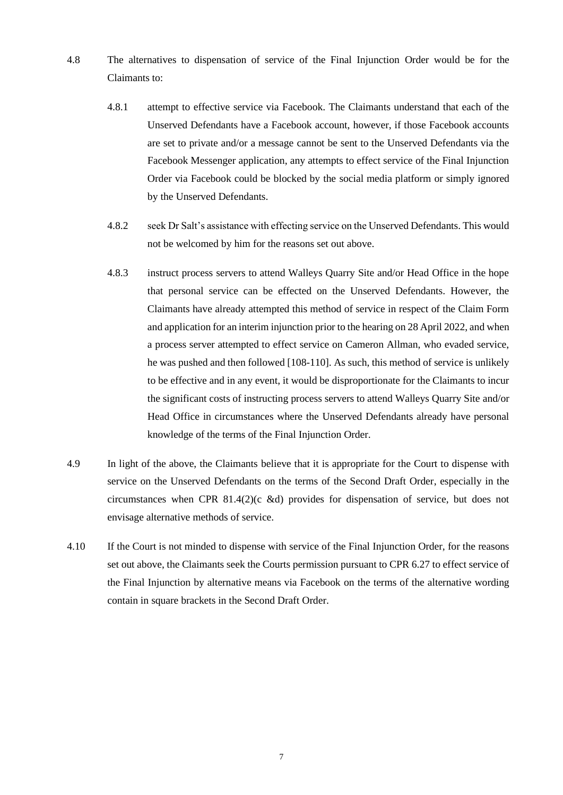- 4.8 The alternatives to dispensation of service of the Final Injunction Order would be for the Claimants to:
	- 4.8.1 attempt to effective service via Facebook. The Claimants understand that each of the Unserved Defendants have a Facebook account, however, if those Facebook accounts are set to private and/or a message cannot be sent to the Unserved Defendants via the Facebook Messenger application, any attempts to effect service of the Final Injunction Order via Facebook could be blocked by the social media platform or simply ignored by the Unserved Defendants.
	- 4.8.2 seek Dr Salt's assistance with effecting service on the Unserved Defendants. This would not be welcomed by him for the reasons set out above.
	- 4.8.3 instruct process servers to attend Walleys Quarry Site and/or Head Office in the hope that personal service can be effected on the Unserved Defendants. However, the Claimants have already attempted this method of service in respect of the Claim Form and application for an interim injunction prior to the hearing on 28 April 2022, and when a process server attempted to effect service on Cameron Allman, who evaded service, he was pushed and then followed [108-110]. As such, this method of service is unlikely to be effective and in any event, it would be disproportionate for the Claimants to incur the significant costs of instructing process servers to attend Walleys Quarry Site and/or Head Office in circumstances where the Unserved Defendants already have personal knowledge of the terms of the Final Injunction Order.
- 4.9 In light of the above, the Claimants believe that it is appropriate for the Court to dispense with service on the Unserved Defendants on the terms of the Second Draft Order, especially in the circumstances when CPR 81.4(2)(c &d) provides for dispensation of service, but does not envisage alternative methods of service.
- 4.10 If the Court is not minded to dispense with service of the Final Injunction Order, for the reasons set out above, the Claimants seek the Courts permission pursuant to CPR 6.27 to effect service of the Final Injunction by alternative means via Facebook on the terms of the alternative wording contain in square brackets in the Second Draft Order.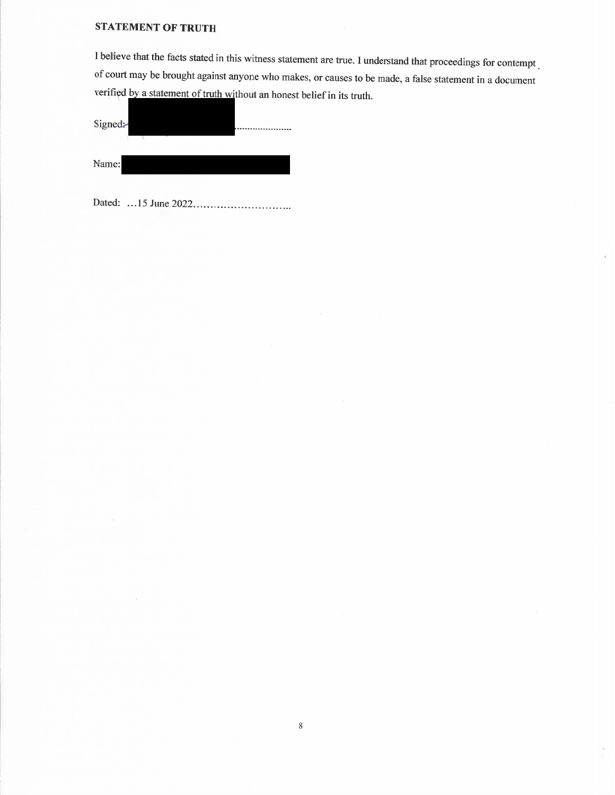# **STATEMENT OF TRUTH**

I believe that the facts stated in this witness statement are true. I understand that proceedings for contempt of court may be brought against anyone who makes, or causes to be made, a false statement in a document verified by a statement of truth without an honest belief in its truth.

| Signed: |  |  |  |
|---------|--|--|--|
| Name:   |  |  |  |